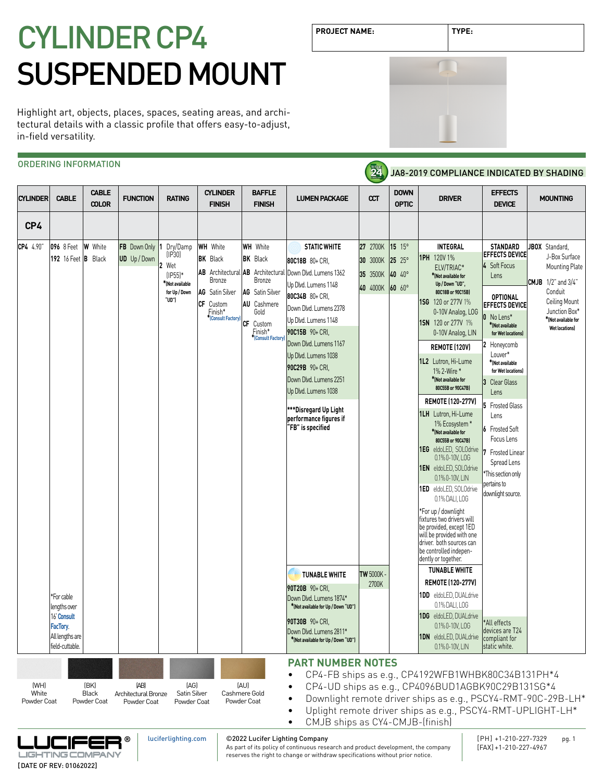# CYLINDER CP4 SUSPENDED MOUNT

Highlight art, objects, places, spaces, seating areas, and architectural details with a classic profile that offers easy-to-adjust, in-field versatility.

# ORDERING INFORMATION

**CABLE CYLINDER BAFFLE DOWN EFFECTS MOUNTING CYLINDER CABLE FUNCTION RATING LUMEN PACKAGE CCT DRIVER COLOR FINISH FINISH OPTIC DEVICE CP4 CP4** 4.90" **096** 8 Feet **W** White **FB** Down Only **WH** White **WH** White **STATIC WHITE 27** 2700K **15** 15° **INTEGRAL STANDARD JBOX** Standard, **1** Dry/Damp **EFFECTS DEVICE** (IP30) **1PH** 120V 1% J-Box Surface **UD** Up / Down **BK** Black **BK** Black **30** 3000K **25** 25° **192** 16 Feet **B** Black **80C18B** 80+ CRI, **2** Wet **4** Soft Focus Mounting Plate ELV/TRIAC\* **\*(Not available for**  Down Dlvd. Lumens 1362 (IP55)\* **AB** Architectural **AB** Architectural **35** 3500K **40** 40° Lens Bronze Bronze **CMJB** 1/2" and 3/4"  **Up / Down "UD", \*(Not available**  Up Dlvd. Lumens 1148 **40** 4000K **60** 60°  **for Up / Down AG** Satin Silver **AG** Satin Silver  **80C18B or 90C15B)**  Conduit **80C34B** 80+ CRI, **OPTIONAL "UD") 1SG** 120 or 277V 1% Ceiling Mount **CF** Custom **AU** Cashmere **EFFECTS DEVICE** Down Dlvd. Lumens 2378 Finish\* Gold 0-10V Analog, LOG Junction Box\* **0** No Lens\* **\*[\(Consult Factory\)](https://luciferlighting.com/ContactUs)** Up Dlvd. Lumens 1148 **\*(Not available for 1SN** 120 or 277V 1% **CF** Custom **\*(Not available Wet locations) 90C15B** 90+ CRI, Finish\* 0-10V Analog, LIN for Wet location **\*[\(Consult Factory\)](https://luciferlighting.com/ContactUs)** Down Dlvd. Lumens 1167 **2** Honeycomb **REMOTE (120V)** Louver\* Up Dlvd. Lumens 1038 **1L2** Lutron, Hi-Lume **\*(Not available 90C29B** 90+ CRI, 1% 2-Wire \*  **for Wet locations)** Down Dlvd. Lumens 2251 **\*(Not available for 3** Clear Glass  **80C55B or 90C47B)**  Up Dlvd. Lumens 1038 Lens **REMOTE (120-277V) 5** Frosted Glass **\*\*\*Disregard Up Light 1LH** Lutron, Hi-Lume Lens **performance figures if**  1% Ecosystem \* **"FB" is specified 6** Frosted Soft **\*(Not available for 80C55B or 90C47B)** Focus Lens **1EG** eldoLED, SOLOdrive **7** Frosted Linear 0.1% 0-10V, LOG Spread Lens **1EN** eldoLED, SOLOdrive This section only 0.1% 0-10V, LIN pertains to **1ED** eldoLED, SOLOdrive downlight source. 0.1% DALI, LOG \*For up / downlight fixtures two drivers will be provided, except 1ED will be provided with one driver. both sources can be controlled independently or together. **TUNABLE WHITE TUNABLE WHITE TW 5000K REMOTE (120-277V) 2700K 90T20B** 90+ CRI, **1DD** eldoLED, DUALdrive \*For cable Down Dlvd. Lumens 1874\* 0.1% DALI, LOG lengths over **\*(Not available for Up / Down "UD")** 16' **[Consult](https://luciferlighting.com/ContactUs)  1DG** eldoLED, DUALdrive **90T30B** 90+ CRI, \*All effects 0.1% 0-10V, LOG **[FacTory](https://luciferlighting.com/ContactUs)**. devices are T24 Down Dlvd. Lumens 2811\* All lengths are **1DN** eldoLED, DUALdrive compliant for **\*(Not available for Up / Down "UD")** field-cuttable. 0.1% 0-10V, LIN static white. **PART NUMBER NOTES** • CP4-FB ships as e.g., CP4192WFB1WHBK80C34B131PH\*4 (WH) (BK) (AG) (AU) (AB) • CP4-UD ships as e.g., CP4096BUD1AGBK90C29B131SG\*4 **White** Black Architectural Bronze Satin Silver Cashmere Gold • Downlight remote driver ships as e.g., PSCY4-RMT-90C-29B-LH\* Powder Coat Powder Coat Powder Coat Powder Coat Powder Coat • Uplight remote driver ships as e.g., PSCY4-RMT-UPLIGHT-LH\* • CMJB ships as CY4-CMJB-(finish) [luciferlighting.com](http://luciferlighting.com/) ©2022 Lucifer Lighting Company [PH] +1-210-227-7329 pg. 1 **®** JCIFE As part of its policy of continuous research and product development, the company

**PROJECT NAME: TYPE:**

**Z4** 



JA8-2019 COMPLIANCE INDICATED BY SHADING

reserves the right to change or withdraw specifications without prior notice.

**LIGHTING COMPAN** [DATE OF REV: 01062022]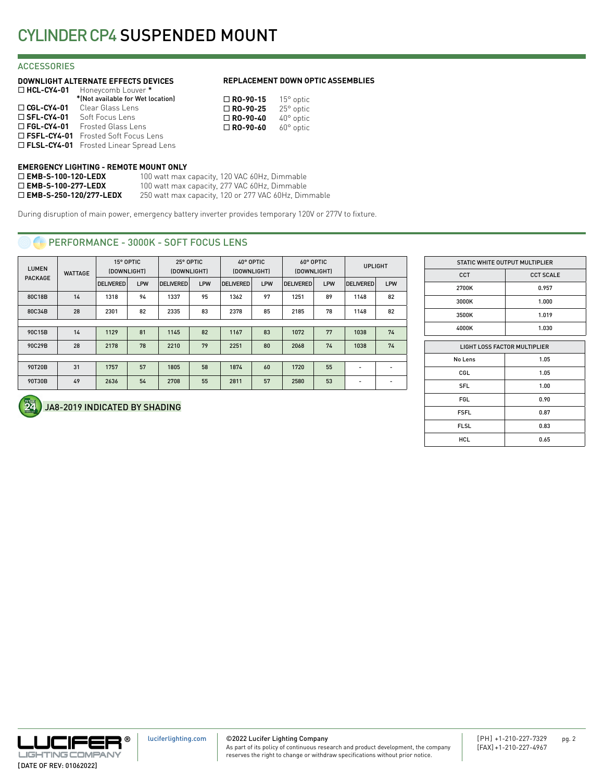# **ACCESSORIES**

### **DOWNLIGHT ALTERNATE EFFECTS DEVICES**

| $\Box$ HCL-CY4-01    | Honeycomb Louver *                              |
|----------------------|-------------------------------------------------|
|                      | *(Not available for Wet location)               |
| $\Box$ CGL-CY4-01    | Clear Glass Lens                                |
| $\square$ SFL-CY4-01 | Soft Focus Lens                                 |
| $\Box$ FGL-CY4-01    | Frosted Glass Lens                              |
|                      | □ FSFL-CY4-01 Frosted Soft Focus Lens           |
|                      | <b>D FLSL-CY4-01</b> Frosted Linear Spread Lens |

### **REPLACEMENT DOWN OPTIC ASSEMBLIES**

| $15^{\circ}$ optic |
|--------------------|
| 25° optic          |
| $40^{\circ}$ optic |
| $60^\circ$ optic   |
|                    |

### **EMERGENCY LIGHTING - REMOTE MOUNT ONLY**

| $\Box$ EMB-S-100-120-LEDX        | 100 watt max capacity, 120 VAC 60Hz, Dimmable        |
|----------------------------------|------------------------------------------------------|
| $\Box$ EMB-S-100-277-LEDX        | 100 watt max capacity, 277 VAC 60Hz, Dimmable        |
| $\square$ EMB-S-250-120/277-LEDX | 250 watt max capacity, 120 or 277 VAC 60Hz, Dimmable |

During disruption of main power, emergency battery inverter provides temporary 120V or 277V to fixture.

# **PERFORMANCE - 3000K - SOFT FOCUS LENS**

| <b>LUMEN</b><br><b>WATTAGE</b> |    | 15° OPTIC<br>(DOWNLIGHT) |            | 25° OPTIC<br>(DOWNLIGHT) |            | 40° OPTIC<br>(DOWNLIGHT) |     | 60° OPTIC<br>(DOWNLIGHT) |            | <b>UPLIGHT</b>           |                          |
|--------------------------------|----|--------------------------|------------|--------------------------|------------|--------------------------|-----|--------------------------|------------|--------------------------|--------------------------|
| <b>PACKAGE</b>                 |    | <b>DELIVERED</b>         | <b>LPW</b> | <b>DELIVERED</b>         | <b>LPW</b> | <b>DELIVERED</b>         | LPW | <b>DELIVERED</b>         | <b>LPW</b> | <b>DELIVERED</b>         | LPW                      |
| 80C18B                         | 14 | 1318                     | 94         | 1337                     | 95         | 1362                     | 97  | 1251                     | 89         | 1148                     | 82                       |
| 80C34B                         | 28 | 2301                     | 82         | 2335                     | 83         | 2378                     | 85  | 2185                     | 78         | 1148                     | 82                       |
|                                |    |                          |            |                          |            |                          |     |                          |            |                          |                          |
| 90C15B                         | 14 | 1129                     | 81         | 1145                     | 82         | 1167                     | 83  | 1072                     | 77         | 1038                     | 74                       |
| 90C29B                         | 28 | 2178                     | 78         | 2210                     | 79         | 2251                     | 80  | 2068                     | 74         | 1038                     | 74                       |
|                                |    |                          |            |                          |            |                          |     |                          |            |                          |                          |
| 90T20B                         | 31 | 1757                     | 57         | 1805                     | 58         | 1874                     | 60  | 1720                     | 55         | ٠                        |                          |
| 90T30B                         | 49 | 2636                     | 54         | 2708                     | 55         | 2811                     | 57  | 2580                     | 53         | $\overline{\phantom{a}}$ | $\overline{\phantom{a}}$ |

| STATIC WHITE OUTPUT MULTIPLIER |                  |  |  |  |
|--------------------------------|------------------|--|--|--|
| CCT                            | <b>CCT SCALE</b> |  |  |  |
| 2700K                          | 0.957            |  |  |  |
| 3000K                          | 1.000            |  |  |  |
| 3500K                          | 1.019            |  |  |  |
| 4000K                          | 1.030            |  |  |  |
| LIGHT LOSS FACTOR MULTIPLIER   |                  |  |  |  |
| No Lens                        | 1.05             |  |  |  |
| CGL                            | 1.05             |  |  |  |
| <b>SFL</b>                     | 1.00             |  |  |  |
| <b>FGL</b>                     | 0.90             |  |  |  |
| <b>FSFL</b>                    | 0.87             |  |  |  |
| <b>FLSL</b>                    | 0.83             |  |  |  |
| <b>HCL</b>                     | 0.65             |  |  |  |

# JA8-2019 INDICATED BY SHADING



©2022 Lucifer Lighting Company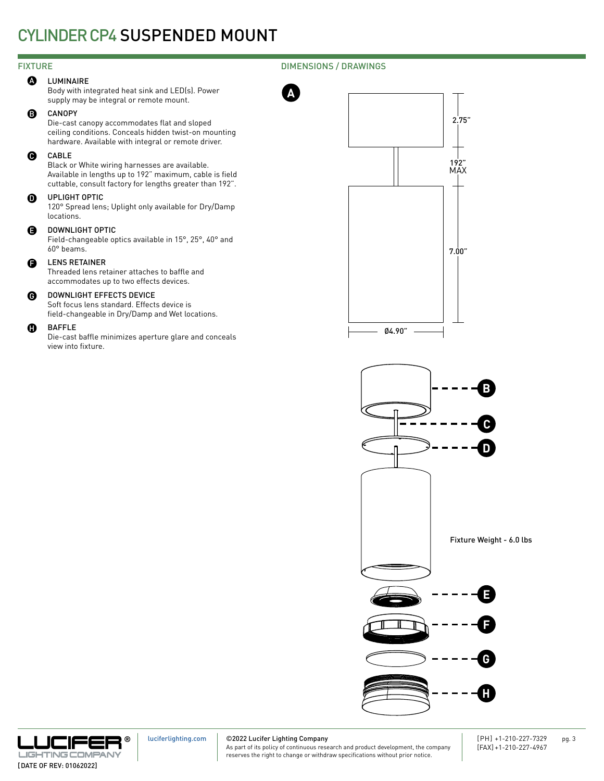# CYLINDER CP4 SUSPENDED MOUNT

### FIXTURE DIMENSIONS / DRAWINGS

### **A** LUMINAIRE

Body with integrated heat sink and LED(s). Power supply may be integral or remote mount.

### B CANOPY

Die-cast canopy accommodates flat and sloped ceiling conditions. Conceals hidden twist-on mounting hardware. Available with integral or remote driver.

### CABLE  $\boldsymbol{\Theta}$

Black or White wiring harnesses are available. Available in lengths up to 192" maximum, cable is field cuttable, consult factory for lengths greater than 192".

### $\Omega$ UPLIGHT OPTIC

120° Spread lens; Uplight only available for Dry/Damp locations.

### DOWNLIGHT OPTIC E

Field-changeable optics available in 15°, 25°, 40° and 60° beams.

### LENS RETAINER F

Threaded lens retainer attaches to baffle and accommodates up to two effects devices.

### DOWNLIGHT EFFECTS DEVICE  $\mathbf{\Theta}$

Soft focus lens standard. Effects device is field-changeable in Dry/Damp and Wet locations.

### BAFFLE **A**

Die-cast baffle minimizes aperture glare and conceals view into fixture.



**A**





©2022 Lucifer Lighting Company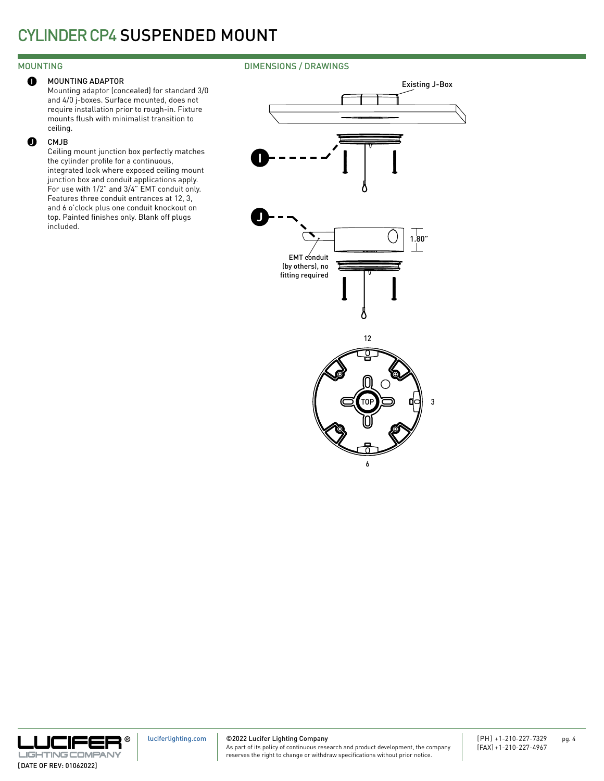# MOUNTING DIMENSIONS / DRAWINGS



Mounting adaptor (concealed) for standard 3/0 and 4/0 j-boxes. Surface mounted, does not require installation prior to rough-in. Fixture mounts flush with minimalist transition to ceiling.

### CMJB  $\bullet$

Ceiling mount junction box perfectly matches the cylinder profile for a continuous, integrated look where exposed ceiling mount junction box and conduit applications apply. For use with 1/2" and 3/4" EMT conduit only. Features three conduit entrances at 12, 3, and 6 o'clock plus one conduit knockout on top. Painted finishes only. Blank off plugs included.



**® LIGHTING COMPAN** [DATE OF REV: 01062022]

[luciferlighting.com](http://luciferlighting.com/)

©2022 Lucifer Lighting Company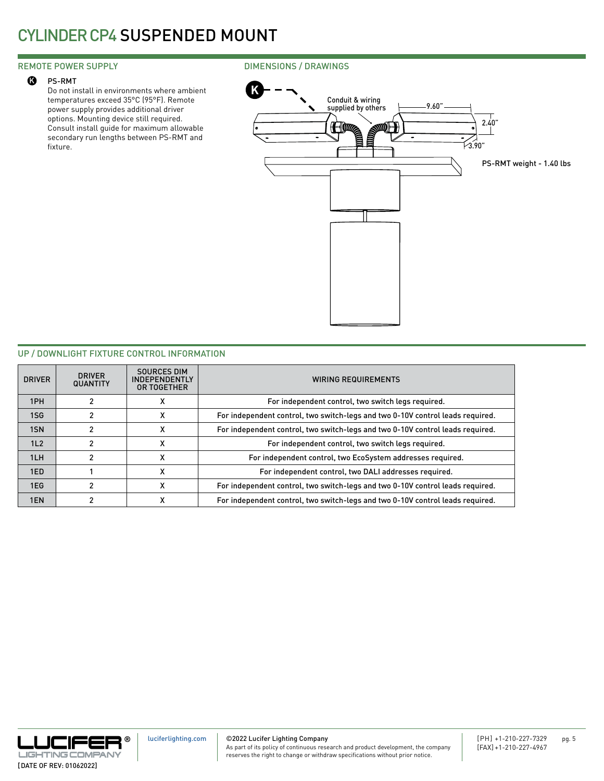# CYLINDER CP4 SUSPENDED MOUNT

### PS-RMT  $\boldsymbol{\Omega}$

Do not install in environments where ambient temperatures exceed 35°C (95°F). Remote power supply provides additional driver options. Mounting device still required. Consult install guide for maximum allowable secondary run lengths between PS-RMT and fixture.

### REMOTE POWER SUPPLY **EXECUTE 20 IMENSIONS** / DRAWINGS



### UP / DOWNLIGHT FIXTURE CONTROL INFORMATION

| <b>DRIVER</b> | <b>DRIVER</b><br><b>QUANTITY</b> | SOURCES DIM<br><b>INDEPENDENTLY</b><br>OR TOGETHER | <b>WIRING REQUIREMENTS</b>                                                     |
|---------------|----------------------------------|----------------------------------------------------|--------------------------------------------------------------------------------|
| 1PH           |                                  |                                                    | For independent control, two switch legs required.                             |
| 1SG           |                                  |                                                    | For independent control, two switch-legs and two 0-10V control leads required. |
| 1SN           |                                  |                                                    | For independent control, two switch-legs and two 0-10V control leads required. |
| 1L2           |                                  | x                                                  | For independent control, two switch legs required.                             |
| 1LH           |                                  |                                                    | For independent control, two EcoSystem addresses required.                     |
| 1ED           |                                  |                                                    | For independent control, two DALI addresses required.                          |
| 1EG           |                                  | х                                                  | For independent control, two switch-legs and two 0-10V control leads required. |
| 1EN           |                                  |                                                    | For independent control, two switch-legs and two 0-10V control leads required. |



[luciferlighting.com](http://luciferlighting.com/)

©2022 Lucifer Lighting Company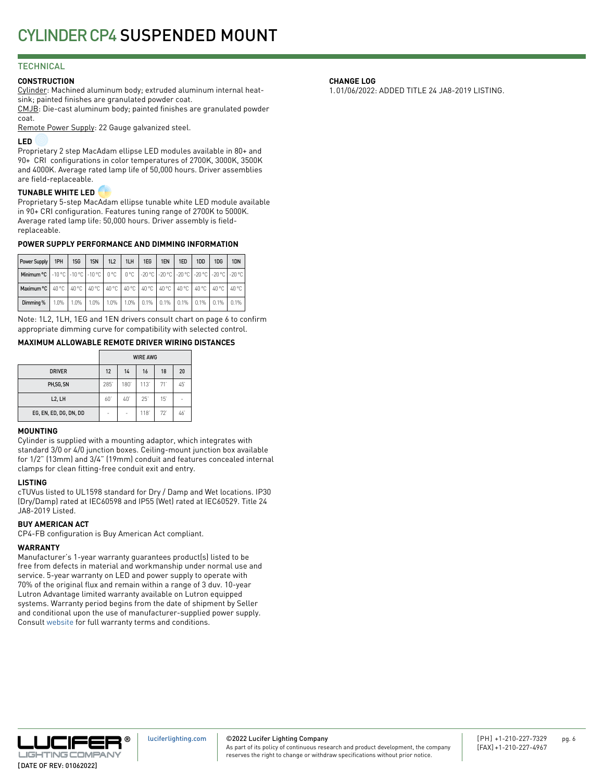# **TECHNICAL**

### **CONSTRUCTION**

Cylinder: Machined aluminum body; extruded aluminum internal heatsink; painted finishes are granulated powder coat.

CMJB: Die-cast aluminum body; painted finishes are granulated powder coat.

Remote Power Supply: 22 Gauge galvanized steel.

### **LED**

Proprietary 2 step MacAdam ellipse LED modules available in 80+ and 90+ CRI configurations in color temperatures of 2700K, 3000K, 3500K and 4000K. Average rated lamp life of 50,000 hours. Driver assemblies are field-replaceable.

### **TUNABLE WHITE LED**

Proprietary 5-step MacAdam ellipse tunable white LED module available in 90+ CRI configuration. Features tuning range of 2700K to 5000K. Average rated lamp life: 50,000 hours. Driver assembly is fieldreplaceable.

### **POWER SUPPLY PERFORMANCE AND DIMMING INFORMATION**

| Power Supply                                                                                              | 1PH | 1SG                         | 1SN | 1L2     | 1LH  | 1EG                                                              | 1EN | 1ED | 1DD | 1DG | 1 <sub>DN</sub> |
|-----------------------------------------------------------------------------------------------------------|-----|-----------------------------|-----|---------|------|------------------------------------------------------------------|-----|-----|-----|-----|-----------------|
| Minimum °C   -10 °C   -10 °C   -10 °C   0 °C   0 °C   -20 °C   -20 °C   -20 °C   -20 °C   -20 °C   -20 °C |     |                             |     |         |      |                                                                  |     |     |     |     |                 |
| Maximum °C   40 °C   40 °C   40 °C   40 °C   40 °C   40 °C   40 °C   40 °C   40 °C   40 °C                |     |                             |     |         |      |                                                                  |     |     |     |     | 40 °C           |
| Dimming %                                                                                                 |     | $1.0\%$   $1.0\%$   $1.0\%$ |     | $1.0\%$ | 1.0% | $\vert$ 0.1% $\vert$ 0.1% $\vert$ 0.1% $\vert$ 0.1% $\vert$ 0.1% |     |     |     |     | 10.1%           |

Note: 1L2, 1LH, 1EG and 1EN drivers consult chart on page 6 to confirm appropriate dimming curve for compatibility with selected control.

### **MAXIMUM ALLOWABLE REMOTE DRIVER WIRING DISTANCES**

|                        |     |     | <b>WIRE AWG</b> |     |    |
|------------------------|-----|-----|-----------------|-----|----|
| <b>DRIVER</b>          | 12  | 14  | 16              | 18  | 20 |
| PH,SG, SN              | 285 | 180 | 113'            | 71' | 45 |
| L <sub>2</sub> , LH    | 60  | 40  | 25'             | 15  | ۰  |
| EG, EN, ED, DG, DN, DD | ۰   | ۰   | 118'            | 72  | 46 |

### **MOUNTING**

Cylinder is supplied with a mounting adaptor, which integrates with standard 3/0 or 4/0 junction boxes. Ceiling-mount junction box available for 1/2" (13mm) and 3/4" (19mm) conduit and features concealed internal clamps for clean fitting-free conduit exit and entry.

### **LISTING**

cTUVus listed to UL1598 standard for Dry / Damp and Wet locations. IP30 (Dry/Damp) rated at IEC60598 and IP55 (Wet) rated at IEC60529. Title 24 JA8-2019 Listed.

### **BUY AMERICAN ACT**

CP4-FB configuration is Buy American Act compliant.

# **WARRANTY**

Manufacturer's 1-year warranty guarantees product(s) listed to be free from defects in material and workmanship under normal use and service. 5-year warranty on LED and power supply to operate with 70% of the original flux and remain within a range of 3 duv. 10-year Lutron Advantage limited warranty available on Lutron equipped systems. Warranty period begins from the date of shipment by Seller and conditional upon the use of manufacturer-supplied power supply. Consult [website](http://luciferlighting.com/Resources/Full-Warranty) for full warranty terms and conditions.

### **CHANGE LOG**

1.01/06/2022: ADDED TITLE 24 JA8-2019 LISTING.